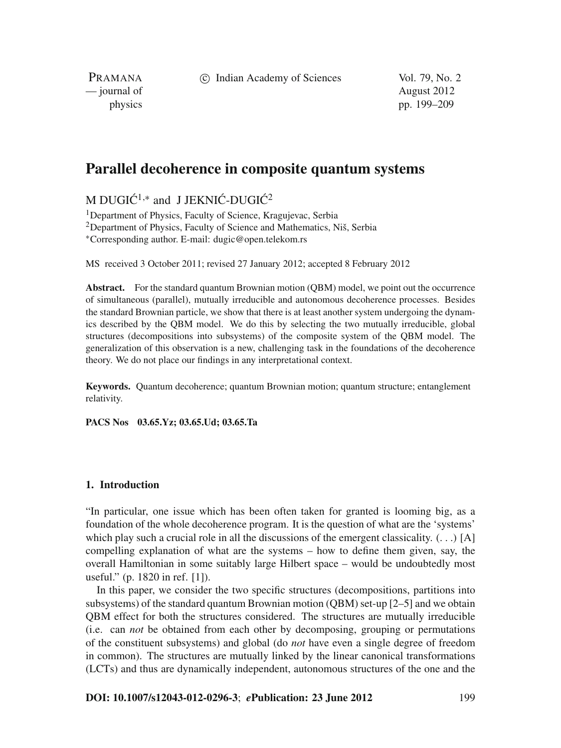c Indian Academy of Sciences Vol. 79, No. 2

PRAMANA — journal of August 2012

physics pp. 199–209

# **Parallel decoherence in composite quantum systems**

M DUGI $\acute{C}^{1,*}$  and J JEKNI $\acute{C}$ -DUGI $\acute{C}^{2}$ 

<sup>1</sup> Denartment of Physics, Faculty of Science, Kragujevac, Serbia <sup>2</sup>Department of Physics, Faculty of Science and Mathematics, Niš, Serbia <sup>∗</sup>Corresponding author. E-mail: dugic@open.telekom.rs

MS received 3 October 2011; revised 27 January 2012; accepted 8 February 2012

**Abstract.** For the standard quantum Brownian motion (QBM) model, we point out the occurrence of simultaneous (parallel), mutually irreducible and autonomous decoherence processes. Besides the standard Brownian particle, we show that there is at least another system undergoing the dynamics described by the QBM model. We do this by selecting the two mutually irreducible, global structures (decompositions into subsystems) of the composite system of the QBM model. The generalization of this observation is a new, challenging task in the foundations of the decoherence theory. We do not place our findings in any interpretational context.

**Keywords.** Quantum decoherence; quantum Brownian motion; quantum structure; entanglement relativity.

**PACS Nos 03.65.Yz; 03.65.Ud; 03.65.Ta**

# **1. Introduction**

"In particular, one issue which has been often taken for granted is looming big, as a foundation of the whole decoherence program. It is the question of what are the 'systems' which play such a crucial role in all the discussions of the emergent classicality.  $(\ldots)$  [A] compelling explanation of what are the systems – how to define them given, say, the overall Hamiltonian in some suitably large Hilbert space – would be undoubtedly most useful." (p. 1820 in ref. [1]).

In this paper, we consider the two specific structures (decompositions, partitions into subsystems) of the standard quantum Brownian motion (QBM) set-up [2–5] and we obtain QBM effect for both the structures considered. The structures are mutually irreducible (i.e. can *not* be obtained from each other by decomposing, grouping or permutations of the constituent subsystems) and global (do *not* have even a single degree of freedom in common). The structures are mutually linked by the linear canonical transformations (LCTs) and thus are dynamically independent, autonomous structures of the one and the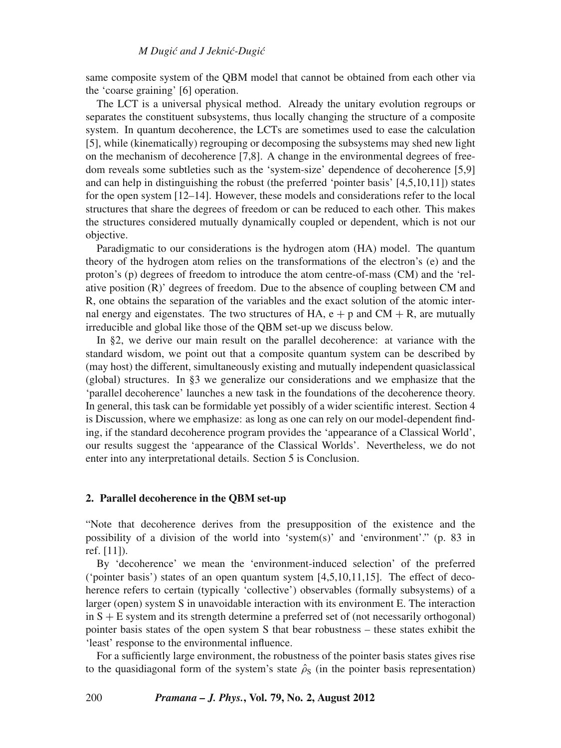same composite system of the QBM model that cannot be obtained from each other via the 'coarse graining' [6] operation.

The LCT is a universal physical method. Already the unitary evolution regroups or separates the constituent subsystems, thus locally changing the structure of a composite system. In quantum decoherence, the LCTs are sometimes used to ease the calculation [5], while (kinematically) regrouping or decomposing the subsystems may shed new light on the mechanism of decoherence [7,8]. A change in the environmental degrees of freedom reveals some subtleties such as the 'system-size' dependence of decoherence [5,9] and can help in distinguishing the robust (the preferred 'pointer basis' [4,5,10,11]) states for the open system [12–14]. However, these models and considerations refer to the local structures that share the degrees of freedom or can be reduced to each other. This makes the structures considered mutually dynamically coupled or dependent, which is not our objective.

Paradigmatic to our considerations is the hydrogen atom (HA) model. The quantum theory of the hydrogen atom relies on the transformations of the electron's (e) and the proton's (p) degrees of freedom to introduce the atom centre-of-mass (CM) and the 'relative position (R)' degrees of freedom. Due to the absence of coupling between CM and R, one obtains the separation of the variables and the exact solution of the atomic internal energy and eigenstates. The two structures of HA,  $e + p$  and CM + R, are mutually irreducible and global like those of the QBM set-up we discuss below.

In §2, we derive our main result on the parallel decoherence: at variance with the standard wisdom, we point out that a composite quantum system can be described by (may host) the different, simultaneously existing and mutually independent quasiclassical (global) structures. In §3 we generalize our considerations and we emphasize that the 'parallel decoherence' launches a new task in the foundations of the decoherence theory. In general, this task can be formidable yet possibly of a wider scientific interest. Section 4 is Discussion, where we emphasize: as long as one can rely on our model-dependent finding, if the standard decoherence program provides the 'appearance of a Classical World', our results suggest the 'appearance of the Classical Worlds'. Nevertheless, we do not enter into any interpretational details. Section 5 is Conclusion.

#### **2. Parallel decoherence in the QBM set-up**

"Note that decoherence derives from the presupposition of the existence and the possibility of a division of the world into 'system(s)' and 'environment'." (p. 83 in ref. [11]).

By 'decoherence' we mean the 'environment-induced selection' of the preferred ('pointer basis') states of an open quantum system  $[4,5,10,11,15]$ . The effect of decoherence refers to certain (typically 'collective') observables (formally subsystems) of a larger (open) system S in unavoidable interaction with its environment E. The interaction in S + E system and its strength determine a preferred set of (not necessarily orthogonal) pointer basis states of the open system S that bear robustness – these states exhibit the 'least' response to the environmental influence.

For a sufficiently large environment, the robustness of the pointer basis states gives rise to the quasidiagonal form of the system's state  $\hat{\rho}_S$  (in the pointer basis representation)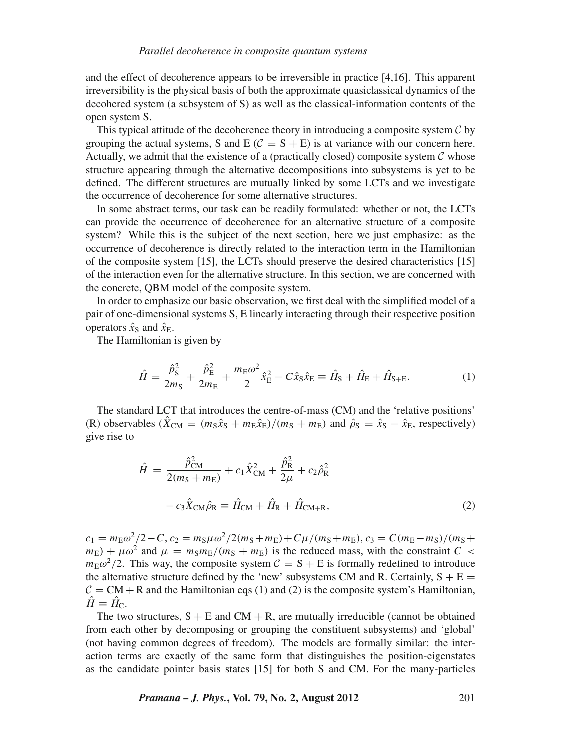and the effect of decoherence appears to be irreversible in practice [4,16]. This apparent irreversibility is the physical basis of both the approximate quasiclassical dynamics of the decohered system (a subsystem of S) as well as the classical-information contents of the open system S.

This typical attitude of the decoherence theory in introducing a composite system  $\mathcal C$  by grouping the actual systems, S and E ( $C = S + E$ ) is at variance with our concern here. Actually, we admit that the existence of a (practically closed) composite system  $\mathcal C$  whose structure appearing through the alternative decompositions into subsystems is yet to be defined. The different structures are mutually linked by some LCTs and we investigate the occurrence of decoherence for some alternative structures.

In some abstract terms, our task can be readily formulated: whether or not, the LCTs can provide the occurrence of decoherence for an alternative structure of a composite system? While this is the subject of the next section, here we just emphasize: as the occurrence of decoherence is directly related to the interaction term in the Hamiltonian of the composite system [15], the LCTs should preserve the desired characteristics [15] of the interaction even for the alternative structure. In this section, we are concerned with the concrete, QBM model of the composite system.

In order to emphasize our basic observation, we first deal with the simplified model of a pair of one-dimensional systems S, E linearly interacting through their respective position operators  $\hat{x}_{S}$  and  $\hat{x}_{E}$ .

The Hamiltonian is given by

$$
\hat{H} = \frac{\hat{p}_{\rm S}^2}{2m_{\rm S}} + \frac{\hat{p}_{\rm E}^2}{2m_{\rm E}} + \frac{m_{\rm E}\omega^2}{2}\hat{x}_{\rm E}^2 - C\hat{x}_{\rm S}\hat{x}_{\rm E} \equiv \hat{H}_{\rm S} + \hat{H}_{\rm E} + \hat{H}_{\rm S+E}.
$$
 (1)

The standard LCT that introduces the centre-of-mass (CM) and the 'relative positions' (R) observables  $(\hat{X}_{CM} = (m_S \hat{x}_S + m_E \hat{x}_E)/(m_S + m_E)$  and  $\hat{\rho}_S = \hat{x}_S - \hat{x}_E$ , respectively) give rise to

$$
\hat{H} = \frac{\hat{p}_{\rm CM}^2}{2(m_{\rm S} + m_{\rm E})} + c_1 \hat{X}_{\rm CM}^2 + \frac{\hat{p}_{\rm R}^2}{2\mu} + c_2 \hat{\rho}_{\rm R}^2
$$

$$
- c_3 \hat{X}_{\rm CM} \hat{\rho}_{\rm R} \equiv \hat{H}_{\rm CM} + \hat{H}_{\rm R} + \hat{H}_{\rm CM+R},\tag{2}
$$

 $c_1 = m_E \omega^2/2 - C$ ,  $c_2 = m_S \mu \omega^2/2(m_S + m_E) + C \mu/(m_S + m_E)$ ,  $c_3 = C(m_E - m_S)/(m_S + m_E)$  $m_{\rm E}$ ) +  $\mu \omega^2$  and  $\mu = m_{\rm S} m_{\rm E}/(m_{\rm S} + m_{\rm E})$  is the reduced mass, with the constraint *C* <  $m_{\rm E}\omega^2/2$ . This way, the composite system  $C = S + E$  is formally redefined to introduce the alternative structure defined by the 'new' subsystems CM and R. Certainly,  $S + E$  =  $C = CM + R$  and the Hamiltonian eqs (1) and (2) is the composite system's Hamiltonian,  $\hat{H} \equiv \hat{H}_C$ .

The two structures,  $S + E$  and  $CM + R$ , are mutually irreducible (cannot be obtained from each other by decomposing or grouping the constituent subsystems) and 'global' (not having common degrees of freedom). The models are formally similar: the interaction terms are exactly of the same form that distinguishes the position-eigenstates as the candidate pointer basis states [15] for both S and CM. For the many-particles

*Pramana – J. Phys.***, Vol. 79, No. 2, August 2012** 201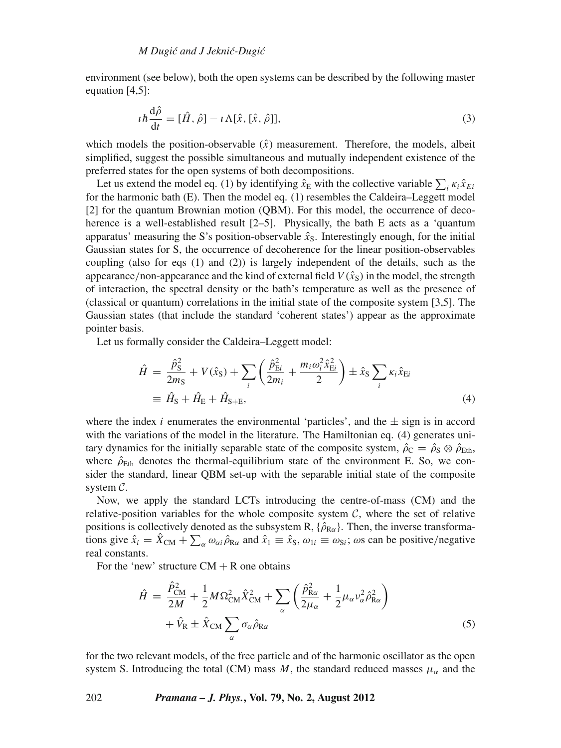environment (see below), both the open systems can be described by the following master equation [4,5]:

$$
i\hbar \frac{d\hat{\rho}}{dt} = [\hat{H}, \hat{\rho}] - i\Lambda[\hat{x}, [\hat{x}, \hat{\rho}]], \qquad (3)
$$

which models the position-observable  $(\hat{x})$  measurement. Therefore, the models, albeit simplified, suggest the possible simultaneous and mutually independent existence of the preferred states for the open systems of both decompositions.

Let us extend the model eq. (1) by identifying  $\hat{x}_E$  with the collective variable  $\sum_i \kappa_i \hat{x}_{Ei}$ for the harmonic bath (E). Then the model eq. (1) resembles the Caldeira–Leggett model [2] for the quantum Brownian motion (QBM). For this model, the occurrence of decoherence is a well-established result [2–5]. Physically, the bath E acts as a 'quantum apparatus' measuring the S's position-observable  $\hat{x}_s$ . Interestingly enough, for the initial Gaussian states for S, the occurrence of decoherence for the linear position-observables coupling (also for eqs  $(1)$  and  $(2)$ ) is largely independent of the details, such as the appearance/non-appearance and the kind of external field  $V(\hat{x}_S)$  in the model, the strength of interaction, the spectral density or the bath's temperature as well as the presence of (classical or quantum) correlations in the initial state of the composite system [3,5]. The Gaussian states (that include the standard 'coherent states') appear as the approximate pointer basis.

Let us formally consider the Caldeira–Leggett model:

$$
\hat{H} = \frac{\hat{p}_{\rm S}^2}{2m_{\rm S}} + V(\hat{x}_{\rm S}) + \sum_{i} \left( \frac{\hat{p}_{\rm Ei}^2}{2m_{i}} + \frac{m_{i}\omega_{i}^2 \hat{x}_{\rm Ei}^2}{2} \right) \pm \hat{x}_{\rm S} \sum_{i} \kappa_{i} \hat{x}_{\rm Ei}
$$
\n
$$
\equiv \hat{H}_{\rm S} + \hat{H}_{\rm E} + \hat{H}_{\rm S+E},\tag{4}
$$

where the index *i* enumerates the environmental 'particles', and the  $\pm$  sign is in accord with the variations of the model in the literature. The Hamiltonian eq. (4) generates unitary dynamics for the initially separable state of the composite system,  $\hat{\rho}_C = \hat{\rho}_S \otimes \hat{\rho}_{Eth}$ , where  $\hat{\rho}_{\text{Eth}}$  denotes the thermal-equilibrium state of the environment E. So, we consider the standard, linear QBM set-up with the separable initial state of the composite system  $C$ .

Now, we apply the standard LCTs introducing the centre-of-mass (CM) and the relative-position variables for the whole composite system  $C$ , where the set of relative positions is collectively denoted as the subsystem R,  $\{\hat{\rho}_{R\alpha}\}$ . Then, the inverse transformations give  $\hat{x}_i = \hat{X}_{CM} + \sum_{\alpha} \omega_{\alpha i} \hat{\rho}_{R\alpha}$  and  $\hat{x}_1 \equiv \hat{x}_S$ ,  $\omega_{1i} \equiv \omega_{Si}$ ;  $\omega$ s can be positive/negative real constants.

For the 'new' structure  $CM + R$  one obtains

$$
\hat{H} = \frac{\hat{P}_{CM}^2}{2M} + \frac{1}{2} M \Omega_{CM}^2 \hat{X}_{CM}^2 + \sum_{\alpha} \left( \frac{\hat{P}_{R\alpha}^2}{2\mu_{\alpha}} + \frac{1}{2} \mu_{\alpha} \nu_{\alpha}^2 \hat{\rho}_{R\alpha}^2 \right) + \hat{V}_{R} \pm \hat{X}_{CM} \sum_{\alpha} \sigma_{\alpha} \hat{\rho}_{R\alpha}
$$
\n(5)

for the two relevant models, of the free particle and of the harmonic oscillator as the open system S. Introducing the total (CM) mass *M*, the standard reduced masses  $\mu_{\alpha}$  and the

202 *Pramana – J. Phys.***, Vol. 79, No. 2, August 2012**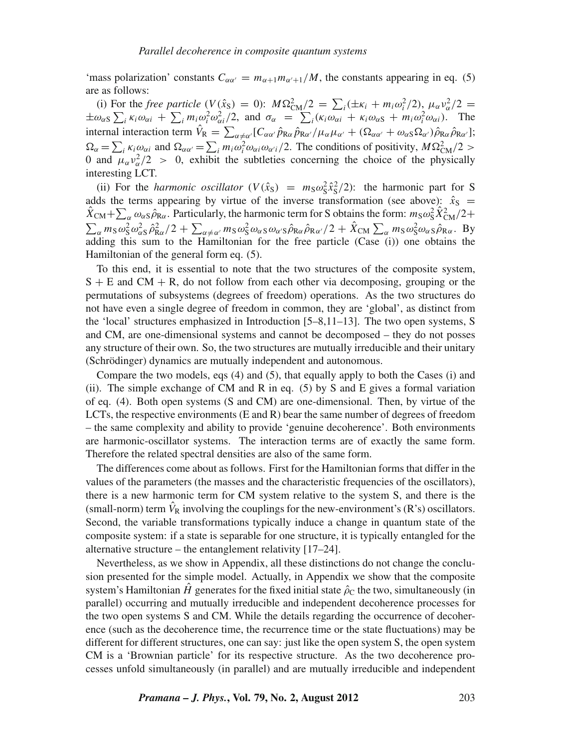'mass polarization' constants  $C_{\alpha\alpha'} = m_{\alpha+1}m_{\alpha'+1}/M$ , the constants appearing in eq. (5) are as follows:

(i) For the *free particle*  $(V(\hat{x}_S) = 0)$ :  $M\Omega_{CM}^2/2 = \sum_i (\pm \kappa_i + m_i \omega_i^2/2)$ ,  $\mu_\alpha v_\alpha^2/2 =$  $\pm \omega_{\alpha S} \sum_{i} \kappa_{i} \omega_{\alpha i} + \sum_{i} m_{i} \omega_{i}^{2} \omega_{\alpha i}^{2}/2$ , and  $\sigma_{\alpha} = \sum_{i} (\kappa_{i} \omega_{\alpha i} + \kappa_{i} \omega_{\alpha S} + m_{i} \omega_{i}^{2} \omega_{\alpha i})$ . The internal interaction term  $\hat{V}_R = \sum_{\alpha \neq \alpha'} [C_{\alpha\alpha'} \hat{p}_{R\alpha} \hat{p}_{R\alpha'} / \mu_\alpha \mu_{\alpha'} + (\Omega_{\alpha\alpha'} + \omega_{\alpha S} \Omega_{\alpha'}) \hat{p}_{R\alpha} \hat{p}_{R\alpha'}]$ ;  $\Omega_{\alpha} = \sum_{i} \kappa_i \omega_{\alpha i}$  and  $\Omega_{\alpha \alpha'} = \sum_{i} m_i \omega_i^2 \omega_{\alpha i} \omega_{\alpha' i}/2$ . The conditions of positivity,  $M \Omega_{\text{CM}}^2 / 2 >$ 0 and  $\mu_{\alpha} v_{\alpha}^2/2$  > 0, exhibit the subtleties concerning the choice of the physically interesting LCT.

(ii) For the *harmonic oscillator*  $(V(\hat{x}_s) = m_s \omega_s^2 \hat{x}_s^2/2)$ : the harmonic part for S adds the terms appearing by virtue of the inverse transformation (see above):  $\hat{x}_{S}$  =  $\hat{X}_{\text{CM}}+\sum_{\alpha}\omega_{\alpha S}\hat{\rho}_{\text{R}\alpha}$ . Particularly, the harmonic term for S obtains the form:  $m_S\omega_S^2\hat{X}_{\text{CM}}^2/2+$  $\sum_{\alpha} m_S \omega_S^2 \omega_{\alpha S}^2 \hat{\rho}_{\text{R}\alpha}^2/2 + \sum_{\alpha \neq \alpha'} m_S \omega_S^2 \omega_{\alpha S} \omega_{\alpha' S} \hat{\rho}_{\text{R}\alpha} \hat{\rho}_{\text{R}\alpha'}^2/2 + \hat{X}_{\text{CM}} \sum_{\alpha} m_S \omega_S^2 \omega_{\alpha S} \hat{\rho}_{\text{R}\alpha}^2$ . By adding this sum to the Hamiltonian for the free particle (Case (i)) one obtains the Hamiltonian of the general form eq. (5).

To this end, it is essential to note that the two structures of the composite system,  $S + E$  and  $CM + R$ , do not follow from each other via decomposing, grouping or the permutations of subsystems (degrees of freedom) operations. As the two structures do not have even a single degree of freedom in common, they are 'global', as distinct from the 'local' structures emphasized in Introduction [5–8,11–13]. The two open systems, S and CM, are one-dimensional systems and cannot be decomposed – they do not posses any structure of their own. So, the two structures are mutually irreducible and their unitary (Schrödinger) dynamics are mutually independent and autonomous.

Compare the two models, eqs (4) and (5), that equally apply to both the Cases (i) and (ii). The simple exchange of CM and R in eq. (5) by S and E gives a formal variation of eq. (4). Both open systems (S and CM) are one-dimensional. Then, by virtue of the LCTs, the respective environments (E and R) bear the same number of degrees of freedom – the same complexity and ability to provide 'genuine decoherence'. Both environments are harmonic-oscillator systems. The interaction terms are of exactly the same form. Therefore the related spectral densities are also of the same form.

The differences come about as follows. First for the Hamiltonian forms that differ in the values of the parameters (the masses and the characteristic frequencies of the oscillators), there is a new harmonic term for CM system relative to the system S, and there is the (small-norm) term  $\hat{V}_R$  involving the couplings for the new-environment's (R's) oscillators. Second, the variable transformations typically induce a change in quantum state of the composite system: if a state is separable for one structure, it is typically entangled for the alternative structure – the entanglement relativity [17–24].

Nevertheless, as we show in Appendix, all these distinctions do not change the conclusion presented for the simple model. Actually, in Appendix we show that the composite system's Hamiltonian  $\hat{H}$  generates for the fixed initial state  $\hat{\rho}_C$  the two, simultaneously (in parallel) occurring and mutually irreducible and independent decoherence processes for the two open systems S and CM. While the details regarding the occurrence of decoherence (such as the decoherence time, the recurrence time or the state fluctuations) may be different for different structures, one can say: just like the open system S, the open system CM is a 'Brownian particle' for its respective structure. As the two decoherence processes unfold simultaneously (in parallel) and are mutually irreducible and independent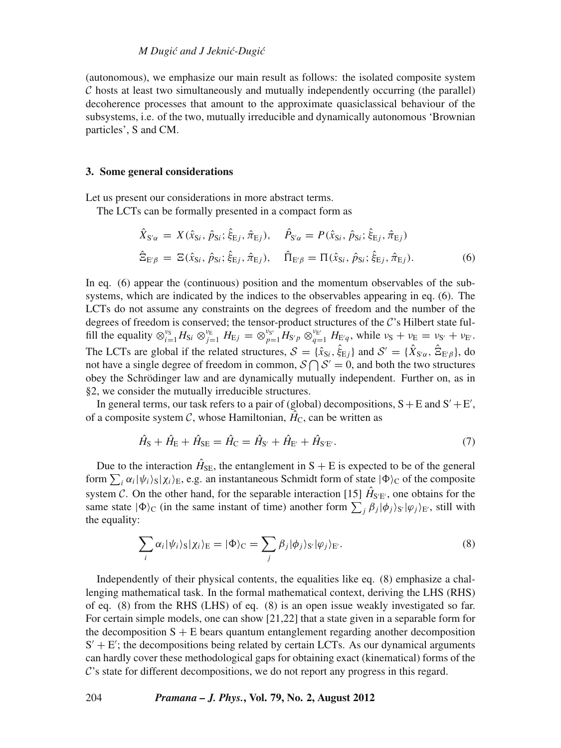(autonomous), we emphasize our main result as follows: the isolated composite system  $\mathcal C$  hosts at least two simultaneously and mutually independently occurring (the parallel) decoherence processes that amount to the approximate quasiclassical behaviour of the subsystems, i.e. of the two, mutually irreducible and dynamically autonomous 'Brownian particles', S and CM.

#### **3. Some general considerations**

Let us present our considerations in more abstract terms.

The LCTs can be formally presented in a compact form as

$$
\hat{X}_{S'\alpha} = X(\hat{x}_{Si}, \hat{p}_{Si}; \hat{\xi}_{Ej}, \hat{\pi}_{Ej}), \quad \hat{P}_{S'\alpha} = P(\hat{x}_{Si}, \hat{p}_{Si}; \hat{\xi}_{Ej}, \hat{\pi}_{Ej})
$$
\n
$$
\hat{\Xi}_{E'\beta} = \Xi(\hat{x}_{Si}, \hat{p}_{Si}; \hat{\xi}_{Ej}, \hat{\pi}_{Ej}), \quad \hat{\Pi}_{E'\beta} = \Pi(\hat{x}_{Si}, \hat{p}_{Si}; \hat{\xi}_{Ej}, \hat{\pi}_{Ej}).
$$
\n(6)

In eq. (6) appear the (continuous) position and the momentum observables of the subsystems, which are indicated by the indices to the observables appearing in eq. (6). The LCTs do not assume any constraints on the degrees of freedom and the number of the degrees of freedom is conserved; the tensor-product structures of the C's Hilbert state fulfill the equality  $\otimes_{i=1}^{\nu_S} H_{\text{Si}} \otimes_{j=1}^{\nu_E} H_{\text{E}j} = \otimes_{p=1}^{\nu_{S'}} \overline{H_{\text{S}'p}} \otimes_{q=1}^{\nu_{E'}} H_{\text{E}'q}$ , while  $\nu_S + \nu_E = \nu_{S'} + \nu_{E'}$ . The LCTs are global if the related structures,  $S = \{\hat{x}_{Si}, \hat{\xi}_{Ej}\}\$  and  $S' = \{\hat{X}_{S'\alpha}, \hat{\Xi}_{E'\beta}\}\$ , do not have a single degree of freedom in common,  $S \cap S' = 0$ , and both the two structures obey the Schrödinger law and are dynamically mutually independent. Further on, as in §2, we consider the mutually irreducible structures.

In general terms, our task refers to a pair of (global) decompositions,  $S + E$  and  $S' + E'$ , of a composite system C, whose Hamiltonian,  $\hat{H}_C$ , can be written as

$$
\hat{H}_{\rm S} + \hat{H}_{\rm E} + \hat{H}_{\rm SE} = \hat{H}_{\rm C} = \hat{H}_{\rm S'} + \hat{H}_{\rm E'} + \hat{H}_{\rm SE'}.
$$
\n(7)

Due to the interaction  $\hat{H}_{\text{SE}}$ , the entanglement in S + E is expected to be of the general form  $\sum_i \alpha_i |\psi_i\rangle_S |\chi_i\rangle_E$ , e.g. an instantaneous Schmidt form of state  $|\Phi\rangle_C$  of the composite system C. On the other hand, for the separable interaction [15]  $\hat{H}_{S'E'}$ , one obtains for the same state  $|\Phi\rangle_C$  (in the same instant of time) another form  $\sum_j \beta_j |\phi_j\rangle_{S'} |\phi_j\rangle_{E'}$ , still with the equality:

$$
\sum_{i} \alpha_{i} |\psi_{i}\rangle_{S} |\chi_{i}\rangle_{E} = |\Phi\rangle_{C} = \sum_{j} \beta_{j} |\phi_{j}\rangle_{S'} |\varphi_{j}\rangle_{E'}.
$$
\n(8)

Independently of their physical contents, the equalities like eq. (8) emphasize a challenging mathematical task. In the formal mathematical context, deriving the LHS (RHS) of eq. (8) from the RHS (LHS) of eq. (8) is an open issue weakly investigated so far. For certain simple models, one can show [21,22] that a state given in a separable form for the decomposition  $S + E$  bears quantum entanglement regarding another decomposition  $S' + E'$ ; the decompositions being related by certain LCTs. As our dynamical arguments can hardly cover these methodological gaps for obtaining exact (kinematical) forms of the  $\mathcal{C}$ 's state for different decompositions, we do not report any progress in this regard.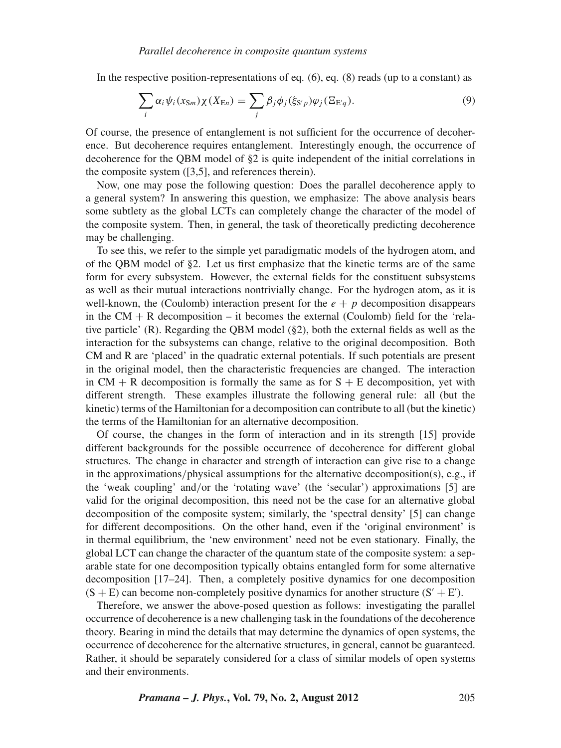In the respective position-representations of eq.  $(6)$ , eq.  $(8)$  reads (up to a constant) as

$$
\sum_{i} \alpha_{i} \psi_{i}(x_{\text{Sm}}) \chi(X_{\text{En}}) = \sum_{j} \beta_{j} \phi_{j}(\xi_{\text{S}'p}) \varphi_{j}(\Xi_{\text{E}'q}). \tag{9}
$$

Of course, the presence of entanglement is not sufficient for the occurrence of decoherence. But decoherence requires entanglement. Interestingly enough, the occurrence of decoherence for the QBM model of §2 is quite independent of the initial correlations in the composite system ([3,5], and references therein).

Now, one may pose the following question: Does the parallel decoherence apply to a general system? In answering this question, we emphasize: The above analysis bears some subtlety as the global LCTs can completely change the character of the model of the composite system. Then, in general, the task of theoretically predicting decoherence may be challenging.

To see this, we refer to the simple yet paradigmatic models of the hydrogen atom, and of the QBM model of §2. Let us first emphasize that the kinetic terms are of the same form for every subsystem. However, the external fields for the constituent subsystems as well as their mutual interactions nontrivially change. For the hydrogen atom, as it is well-known, the (Coulomb) interaction present for the  $e + p$  decomposition disappears in the  $CM + R$  decomposition – it becomes the external (Coulomb) field for the 'relative particle' (R). Regarding the QBM model (§2), both the external fields as well as the interaction for the subsystems can change, relative to the original decomposition. Both CM and R are 'placed' in the quadratic external potentials. If such potentials are present in the original model, then the characteristic frequencies are changed. The interaction in  $CM + R$  decomposition is formally the same as for  $S + E$  decomposition, yet with different strength. These examples illustrate the following general rule: all (but the kinetic) terms of the Hamiltonian for a decomposition can contribute to all (but the kinetic) the terms of the Hamiltonian for an alternative decomposition.

Of course, the changes in the form of interaction and in its strength [15] provide different backgrounds for the possible occurrence of decoherence for different global structures. The change in character and strength of interaction can give rise to a change in the approximations/physical assumptions for the alternative decomposition(s), e.g., if the 'weak coupling' and/or the 'rotating wave' (the 'secular') approximations [5] are valid for the original decomposition, this need not be the case for an alternative global decomposition of the composite system; similarly, the 'spectral density' [5] can change for different decompositions. On the other hand, even if the 'original environment' is in thermal equilibrium, the 'new environment' need not be even stationary. Finally, the global LCT can change the character of the quantum state of the composite system: a separable state for one decomposition typically obtains entangled form for some alternative decomposition [17–24]. Then, a completely positive dynamics for one decomposition  $(S + E)$  can become non-completely positive dynamics for another structure  $(S' + E')$ .

Therefore, we answer the above-posed question as follows: investigating the parallel occurrence of decoherence is a new challenging task in the foundations of the decoherence theory. Bearing in mind the details that may determine the dynamics of open systems, the occurrence of decoherence for the alternative structures, in general, cannot be guaranteed. Rather, it should be separately considered for a class of similar models of open systems and their environments.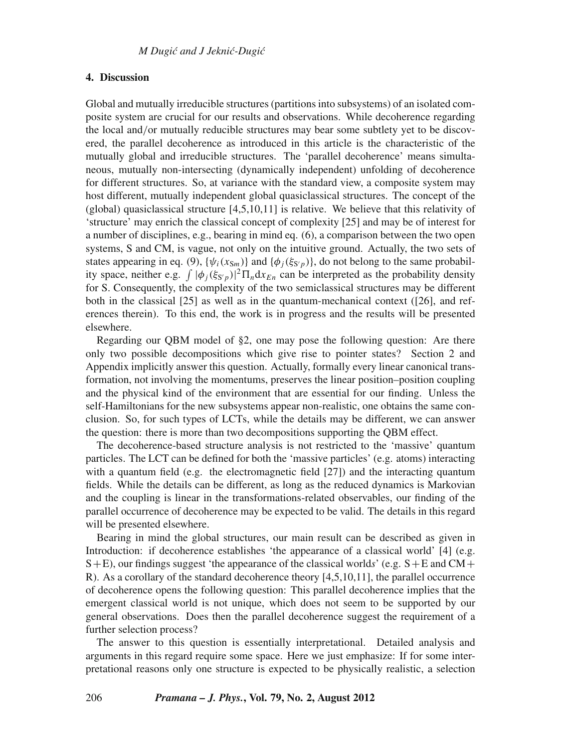#### **4. Discussion**

Global and mutually irreducible structures (partitions into subsystems) of an isolated composite system are crucial for our results and observations. While decoherence regarding the local and/or mutually reducible structures may bear some subtlety yet to be discovered, the parallel decoherence as introduced in this article is the characteristic of the mutually global and irreducible structures. The 'parallel decoherence' means simultaneous, mutually non-intersecting (dynamically independent) unfolding of decoherence for different structures. So, at variance with the standard view, a composite system may host different, mutually independent global quasiclassical structures. The concept of the  $(global)$  quasiclassical structure  $[4,5,10,11]$  is relative. We believe that this relativity of 'structure' may enrich the classical concept of complexity [25] and may be of interest for a number of disciplines, e.g., bearing in mind eq. (6), a comparison between the two open systems, S and CM, is vague, not only on the intuitive ground. Actually, the two sets of states appearing in eq. (9),  $\{\psi_i(x_{\text{S}_m})\}$  and  $\{\phi_i(\xi_{\text{S}_p})\}$ , do not belong to the same probability space, neither e.g.  $\int |\phi_j(\xi_{S'p})|^2 \Pi_n dx_{En}$  can be interpreted as the probability density for S. Consequently, the complexity of the two semiclassical structures may be different both in the classical [25] as well as in the quantum-mechanical context ([26], and references therein). To this end, the work is in progress and the results will be presented elsewhere.

Regarding our QBM model of §2, one may pose the following question: Are there only two possible decompositions which give rise to pointer states? Section 2 and Appendix implicitly answer this question. Actually, formally every linear canonical transformation, not involving the momentums, preserves the linear position–position coupling and the physical kind of the environment that are essential for our finding. Unless the self-Hamiltonians for the new subsystems appear non-realistic, one obtains the same conclusion. So, for such types of LCTs, while the details may be different, we can answer the question: there is more than two decompositions supporting the QBM effect.

The decoherence-based structure analysis is not restricted to the 'massive' quantum particles. The LCT can be defined for both the 'massive particles' (e.g. atoms) interacting with a quantum field (e.g. the electromagnetic field  $[27]$ ) and the interacting quantum fields. While the details can be different, as long as the reduced dynamics is Markovian and the coupling is linear in the transformations-related observables, our finding of the parallel occurrence of decoherence may be expected to be valid. The details in this regard will be presented elsewhere.

Bearing in mind the global structures, our main result can be described as given in Introduction: if decoherence establishes 'the appearance of a classical world' [4] (e.g.  $S+E$ ), our findings suggest 'the appearance of the classical worlds' (e.g.  $S+E$  and  $CM+$ R). As a corollary of the standard decoherence theory [4,5,10,11], the parallel occurrence of decoherence opens the following question: This parallel decoherence implies that the emergent classical world is not unique, which does not seem to be supported by our general observations. Does then the parallel decoherence suggest the requirement of a further selection process?

The answer to this question is essentially interpretational. Detailed analysis and arguments in this regard require some space. Here we just emphasize: If for some interpretational reasons only one structure is expected to be physically realistic, a selection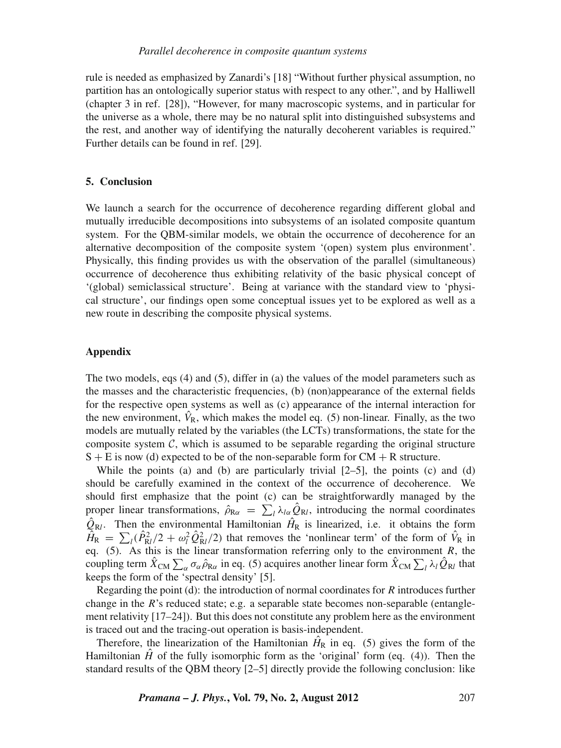rule is needed as emphasized by Zanardi's [18] "Without further physical assumption, no partition has an ontologically superior status with respect to any other.", and by Halliwell (chapter 3 in ref. [28]), "However, for many macroscopic systems, and in particular for the universe as a whole, there may be no natural split into distinguished subsystems and the rest, and another way of identifying the naturally decoherent variables is required." Further details can be found in ref. [29].

#### **5. Conclusion**

We launch a search for the occurrence of decoherence regarding different global and mutually irreducible decompositions into subsystems of an isolated composite quantum system. For the QBM-similar models, we obtain the occurrence of decoherence for an alternative decomposition of the composite system '(open) system plus environment'. Physically, this finding provides us with the observation of the parallel (simultaneous) occurrence of decoherence thus exhibiting relativity of the basic physical concept of '(global) semiclassical structure'. Being at variance with the standard view to 'physical structure', our findings open some conceptual issues yet to be explored as well as a new route in describing the composite physical systems.

### **Appendix**

The two models, eqs (4) and (5), differ in (a) the values of the model parameters such as the masses and the characteristic frequencies, (b) (non)appearance of the external fields for the respective open systems as well as (c) appearance of the internal interaction for the new environment,  $\hat{V}_R$ , which makes the model eq. (5) non-linear. Finally, as the two models are mutually related by the variables (the LCTs) transformations, the state for the composite system  $\mathcal{C}$ , which is assumed to be separable regarding the original structure  $S + E$  is now (d) expected to be of the non-separable form for  $CM + R$  structure.

While the points (a) and (b) are particularly trivial  $[2-5]$ , the points (c) and (d) should be carefully examined in the context of the occurrence of decoherence. We should first emphasize that the point (c) can be straightforwardly managed by the proper linear transformations,  $\hat{\rho}_{R\alpha} = \sum_l \lambda_{l\alpha} \hat{Q}_{Rl}$ , introducing the normal coordinates  $\hat{Q}_{\text{R}l}$ . Then the environmental Hamiltonian  $\hat{H}_{\text{R}}$  is linearized, i.e. it obtains the form  $\hat{H}_R = \sum_l (\hat{P}_{Rl}^2/2 + \omega_l^2 \hat{Q}_{Rl}^2/2)$  that removes the 'nonlinear term' of the form of  $\hat{V}_R$  in eq.  $(5)$ . As this is the linear transformation referring only to the environment *R*, the coupling term  $\hat{X}_{CM} \sum_{\alpha} \sigma_{\alpha} \hat{\rho}_{R\alpha}$  in eq. (5) acquires another linear form  $\hat{X}_{CM} \sum_{l} \lambda_{l} \hat{Q}_{Rl}$  that keeps the form of the 'spectral density' [5].

Regarding the point (d): the introduction of normal coordinates for *R* introduces further change in the *R*'s reduced state; e.g. a separable state becomes non-separable (entanglement relativity [17–24]). But this does not constitute any problem here as the environment is traced out and the tracing-out operation is basis-independent.

Therefore, the linearization of the Hamiltonian  $\hat{H}_R$  in eq. (5) gives the form of the Hamiltonian  $H$  of the fully isomorphic form as the 'original' form (eq. (4)). Then the standard results of the QBM theory [2–5] directly provide the following conclusion: like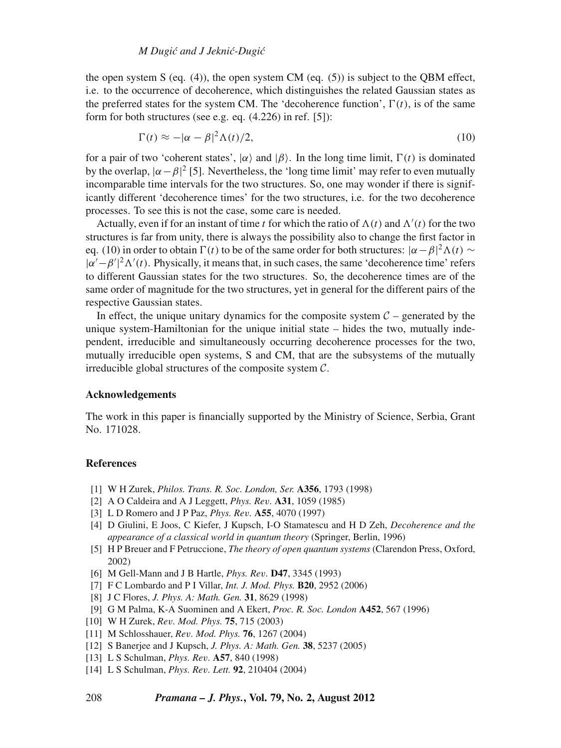## *M Dugi´c and J Jekni´c-Dugi´c*

the open system S (eq.  $(4)$ ), the open system CM (eq.  $(5)$ ) is subject to the OBM effect, i.e. to the occurrence of decoherence, which distinguishes the related Gaussian states as the preferred states for the system CM. The 'decoherence function',  $\Gamma(t)$ , is of the same form for both structures (see e.g. eq. (4.226) in ref. [5]):

$$
\Gamma(t) \approx -|\alpha - \beta|^2 \Lambda(t)/2,\tag{10}
$$

for a pair of two 'coherent states',  $|\alpha\rangle$  and  $|\beta\rangle$ . In the long time limit,  $\Gamma(t)$  is dominated by the overlap,  $|\alpha - \beta|^2$  [5]. Nevertheless, the 'long time limit' may refer to even mutually incomparable time intervals for the two structures. So, one may wonder if there is significantly different 'decoherence times' for the two structures, i.e. for the two decoherence processes. To see this is not the case, some care is needed.

Actually, even if for an instant of time *t* for which the ratio of  $\Lambda(t)$  and  $\Lambda'(t)$  for the two structures is far from unity, there is always the possibility also to change the first factor in eq. (10) in order to obtain  $\Gamma(t)$  to be of the same order for both structures:  $|\alpha - \beta|^2 \Lambda(t) \sim$  $|\alpha'-\beta'|^2 \Lambda'(t)$ . Physically, it means that, in such cases, the same 'decoherence time' refers to different Gaussian states for the two structures. So, the decoherence times are of the same order of magnitude for the two structures, yet in general for the different pairs of the respective Gaussian states.

In effect, the unique unitary dynamics for the composite system  $C$  – generated by the unique system-Hamiltonian for the unique initial state  $-$  hides the two, mutually independent, irreducible and simultaneously occurring decoherence processes for the two, mutually irreducible open systems, S and CM, that are the subsystems of the mutually irreducible global structures of the composite system  $C$ .

# **Acknowledgements**

The work in this paper is financially supported by the Ministry of Science, Serbia, Grant No. 171028.

# **References**

- [1] W H Zurek, *Philos. Trans. R. Soc. London, Ser.* **A356**, 1793 (1998)
- [2] A O Caldeira and A J Leggett, *Phys. Re*v*.* **A31**, 1059 (1985)
- [3] L D Romero and J P Paz, *Phys. Re*v*.* **A55**, 4070 (1997)
- [4] D Giulini, E Joos, C Kiefer, J Kupsch, I-O Stamatescu and H D Zeh, *Decoherence and the appearance of a classical world in quantum theory* (Springer, Berlin, 1996)
- [5] H P Breuer and F Petruccione, *The theory of open quantum systems* (Clarendon Press, Oxford, 2002)
- [6] M Gell-Mann and J B Hartle, *Phys. Re*v*.* **D47**, 3345 (1993)
- [7] F C Lombardo and P I Villar, *Int. J. Mod. Phys.* **B20**, 2952 (2006)
- [8] J C Flores, *J. Phys. A: Math. Gen.* **31**, 8629 (1998)
- [9] G M Palma, K-A Suominen and A Ekert, *Proc. R. Soc. London* **A452**, 567 (1996)
- [10] W H Zurek, *Re*v*. Mod. Phys.* **75**, 715 (2003)
- [11] M Schlosshauer, *Re*v*. Mod. Phys.* **76**, 1267 (2004)
- [12] S Banerjee and J Kupsch, *J. Phys. A: Math. Gen.* **38**, 5237 (2005)
- [13] L S Schulman, *Phys. Re*v*.* **A57**, 840 (1998)
- [14] L S Schulman, *Phys. Re*v*. Lett.* **92**, 210404 (2004)